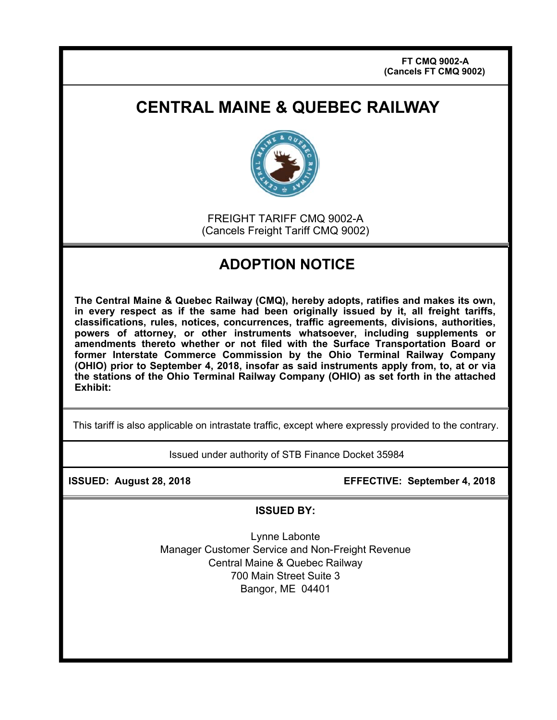## **CENTRAL MAINE & QUEBEC RAILWAY**



FREIGHT TARIFF CMQ 9002-A (Cancels Freight Tariff CMQ 9002)

## **ADOPTION NOTICE**

**The Central Maine & Quebec Railway (CMQ), hereby adopts, ratifies and makes its own, in every respect as if the same had been originally issued by it, all freight tariffs, classifications, rules, notices, concurrences, traffic agreements, divisions, authorities, powers of attorney, or other instruments whatsoever, including supplements or amendments thereto whether or not filed with the Surface Transportation Board or former Interstate Commerce Commission by the Ohio Terminal Railway Company (OHIO) prior to September 4, 2018, insofar as said instruments apply from, to, at or via the stations of the Ohio Terminal Railway Company (OHIO) as set forth in the attached Exhibit:** 

This tariff is also applicable on intrastate traffic, except where expressly provided to the contrary.

Issued under authority of STB Finance Docket 35984

**ISSUED: August 28, 2018 EFFECTIVE: September 4, 2018**

**ISSUED BY:** 

Lynne Labonte Manager Customer Service and Non-Freight Revenue Central Maine & Quebec Railway 700 Main Street Suite 3 Bangor, ME 04401